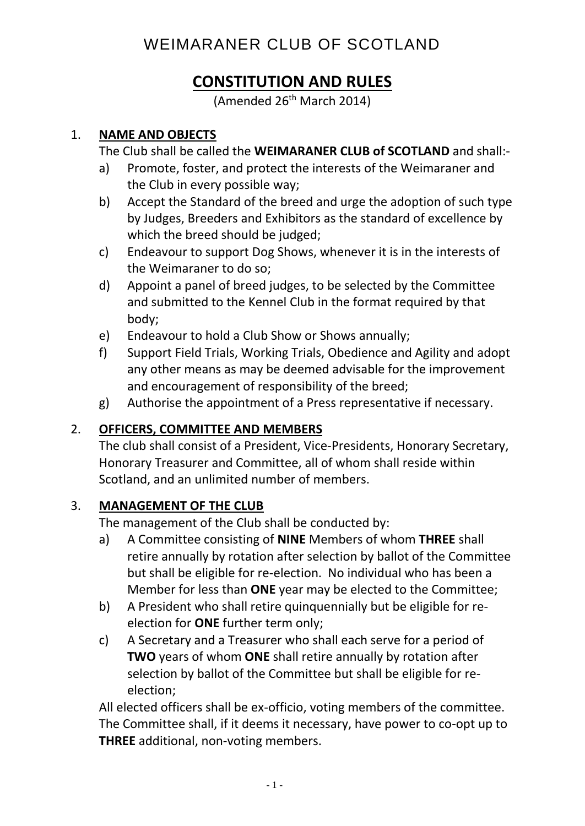## **CONSTITUTION AND RULES**

(Amended 26<sup>th</sup> March 2014)

### 1. **NAME AND OBJECTS**

The Club shall be called the **WEIMARANER CLUB of SCOTLAND** and shall:-

- a) Promote, foster, and protect the interests of the Weimaraner and the Club in every possible way;
- b) Accept the Standard of the breed and urge the adoption of such type by Judges, Breeders and Exhibitors as the standard of excellence by which the breed should be judged;
- c) Endeavour to support Dog Shows, whenever it is in the interests of the Weimaraner to do so;
- d) Appoint a panel of breed judges, to be selected by the Committee and submitted to the Kennel Club in the format required by that body;
- e) Endeavour to hold a Club Show or Shows annually;
- f) Support Field Trials, Working Trials, Obedience and Agility and adopt any other means as may be deemed advisable for the improvement and encouragement of responsibility of the breed;
- g) Authorise the appointment of a Press representative if necessary.

### 2. **OFFICERS, COMMITTEE AND MEMBERS**

The club shall consist of a President, Vice-Presidents, Honorary Secretary, Honorary Treasurer and Committee, all of whom shall reside within Scotland, and an unlimited number of members.

#### 3. **MANAGEMENT OF THE CLUB**

The management of the Club shall be conducted by:

- a) A Committee consisting of **NINE** Members of whom **THREE** shall retire annually by rotation after selection by ballot of the Committee but shall be eligible for re-election. No individual who has been a Member for less than **ONE** year may be elected to the Committee;
- b) A President who shall retire quinquennially but be eligible for reelection for **ONE** further term only;
- c) A Secretary and a Treasurer who shall each serve for a period of **TWO** years of whom **ONE** shall retire annually by rotation after selection by ballot of the Committee but shall be eligible for reelection;

All elected officers shall be ex-officio, voting members of the committee. The Committee shall, if it deems it necessary, have power to co-opt up to **THREE** additional, non-voting members.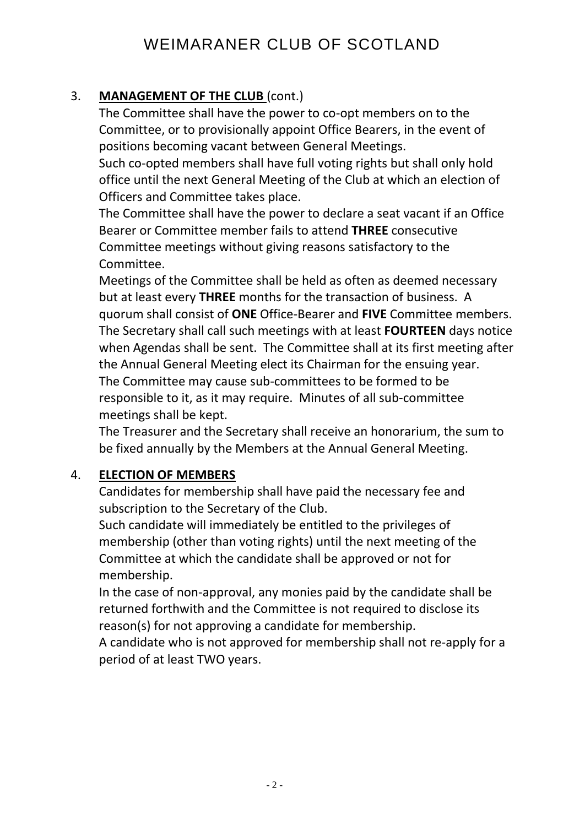## 3. **MANAGEMENT OF THE CLUB** (cont.)

The Committee shall have the power to co-opt members on to the Committee, or to provisionally appoint Office Bearers, in the event of positions becoming vacant between General Meetings.

Such co-opted members shall have full voting rights but shall only hold office until the next General Meeting of the Club at which an election of Officers and Committee takes place.

The Committee shall have the power to declare a seat vacant if an Office Bearer or Committee member fails to attend **THREE** consecutive Committee meetings without giving reasons satisfactory to the Committee.

Meetings of the Committee shall be held as often as deemed necessary but at least every **THREE** months for the transaction of business. A quorum shall consist of **ONE** Office-Bearer and **FIVE** Committee members. The Secretary shall call such meetings with at least **FOURTEEN** days notice when Agendas shall be sent. The Committee shall at its first meeting after the Annual General Meeting elect its Chairman for the ensuing year. The Committee may cause sub-committees to be formed to be responsible to it, as it may require. Minutes of all sub-committee meetings shall be kept.

The Treasurer and the Secretary shall receive an honorarium, the sum to be fixed annually by the Members at the Annual General Meeting.

### 4. **ELECTION OF MEMBERS**

Candidates for membership shall have paid the necessary fee and subscription to the Secretary of the Club.

Such candidate will immediately be entitled to the privileges of membership (other than voting rights) until the next meeting of the Committee at which the candidate shall be approved or not for membership.

In the case of non-approval, any monies paid by the candidate shall be returned forthwith and the Committee is not required to disclose its reason(s) for not approving a candidate for membership.

A candidate who is not approved for membership shall not re-apply for a period of at least TWO years.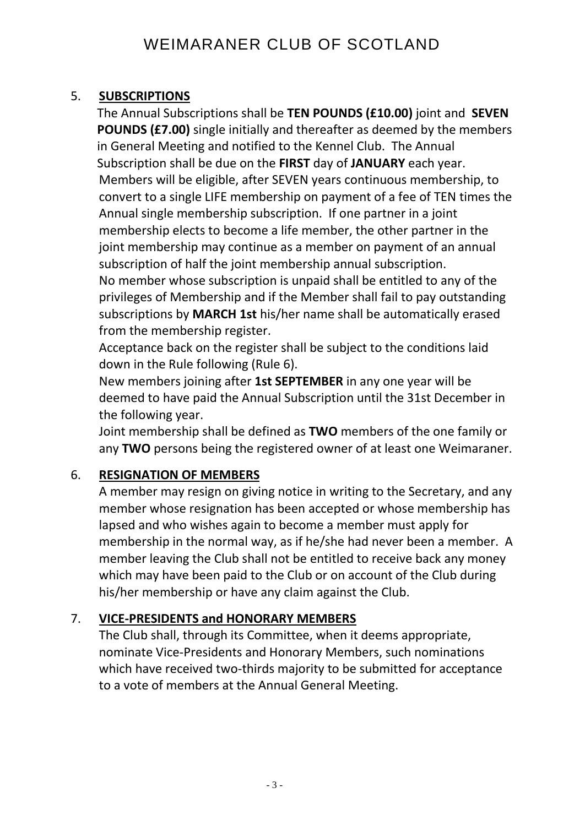## 5. **SUBSCRIPTIONS**

The Annual Subscriptions shall be **TEN POUNDS (£10.00)** joint and **SEVEN POUNDS (£7.00)** single initially and thereafter as deemed by the members in General Meeting and notified to the Kennel Club. The Annual Subscription shall be due on the **FIRST** day of **JANUARY** each year. Members will be eligible, after SEVEN years continuous membership, to convert to a single LIFE membership on payment of a fee of TEN times the Annual single membership subscription. If one partner in a joint membership elects to become a life member, the other partner in the joint membership may continue as a member on payment of an annual subscription of half the joint membership annual subscription. No member whose subscription is unpaid shall be entitled to any of the privileges of Membership and if the Member shall fail to pay outstanding subscriptions by **MARCH 1st** his/her name shall be automatically erased from the membership register.

Acceptance back on the register shall be subject to the conditions laid down in the Rule following (Rule 6).

New members joining after **1st SEPTEMBER** in any one year will be deemed to have paid the Annual Subscription until the 31st December in the following year.

Joint membership shall be defined as **TWO** members of the one family or any **TWO** persons being the registered owner of at least one Weimaraner.

## 6. **RESIGNATION OF MEMBERS**

A member may resign on giving notice in writing to the Secretary, and any member whose resignation has been accepted or whose membership has lapsed and who wishes again to become a member must apply for membership in the normal way, as if he/she had never been a member. A member leaving the Club shall not be entitled to receive back any money which may have been paid to the Club or on account of the Club during his/her membership or have any claim against the Club.

### 7. **VICE-PRESIDENTS and HONORARY MEMBERS**

The Club shall, through its Committee, when it deems appropriate, nominate Vice-Presidents and Honorary Members, such nominations which have received two-thirds majority to be submitted for acceptance to a vote of members at the Annual General Meeting.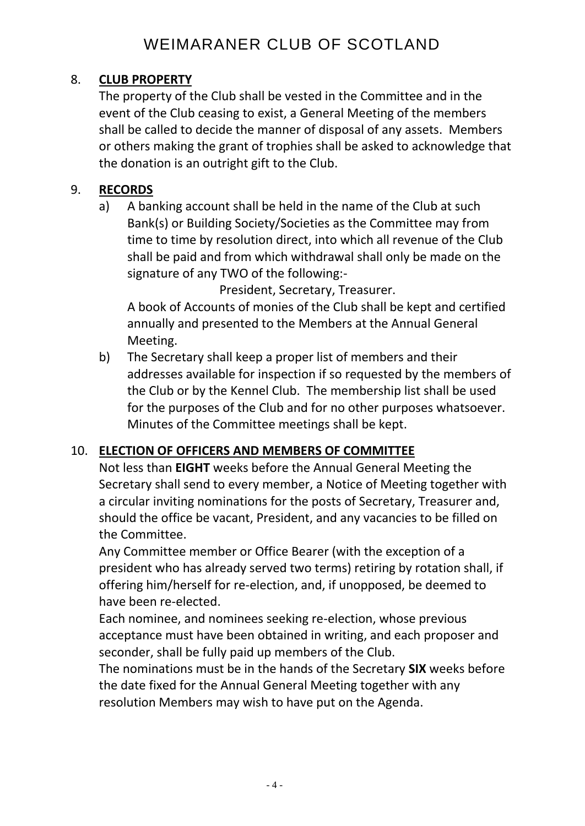## 8. **CLUB PROPERTY**

The property of the Club shall be vested in the Committee and in the event of the Club ceasing to exist, a General Meeting of the members shall be called to decide the manner of disposal of any assets. Members or others making the grant of trophies shall be asked to acknowledge that the donation is an outright gift to the Club.

## 9. **RECORDS**

a) A banking account shall be held in the name of the Club at such Bank(s) or Building Society/Societies as the Committee may from time to time by resolution direct, into which all revenue of the Club shall be paid and from which withdrawal shall only be made on the signature of any TWO of the following:-

President, Secretary, Treasurer.

A book of Accounts of monies of the Club shall be kept and certified annually and presented to the Members at the Annual General Meeting.

b) The Secretary shall keep a proper list of members and their addresses available for inspection if so requested by the members of the Club or by the Kennel Club. The membership list shall be used for the purposes of the Club and for no other purposes whatsoever. Minutes of the Committee meetings shall be kept.

## 10. **ELECTION OF OFFICERS AND MEMBERS OF COMMITTEE**

Not less than **EIGHT** weeks before the Annual General Meeting the Secretary shall send to every member, a Notice of Meeting together with a circular inviting nominations for the posts of Secretary, Treasurer and, should the office be vacant, President, and any vacancies to be filled on the Committee.

Any Committee member or Office Bearer (with the exception of a president who has already served two terms) retiring by rotation shall, if offering him/herself for re-election, and, if unopposed, be deemed to have been re-elected.

Each nominee, and nominees seeking re-election, whose previous acceptance must have been obtained in writing, and each proposer and seconder, shall be fully paid up members of the Club.

The nominations must be in the hands of the Secretary **SIX** weeks before the date fixed for the Annual General Meeting together with any resolution Members may wish to have put on the Agenda.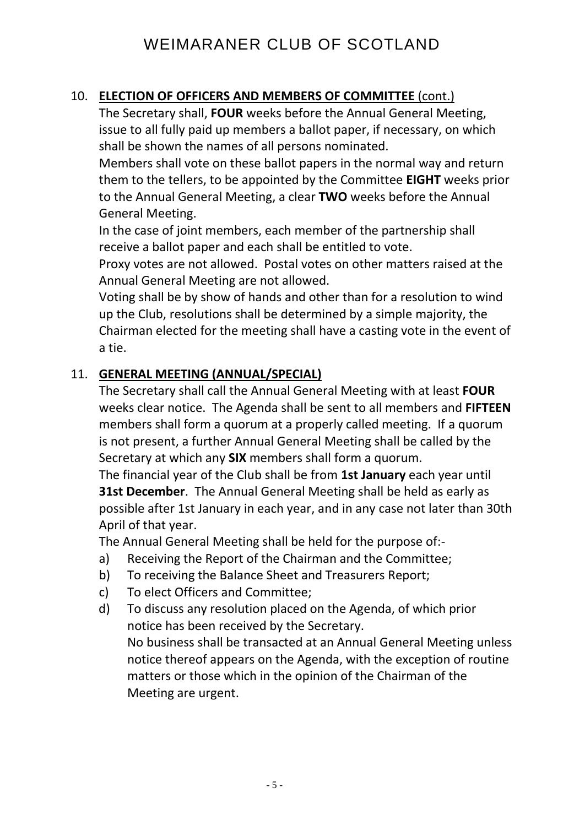### 10. **ELECTION OF OFFICERS AND MEMBERS OF COMMITTEE** (cont.)

The Secretary shall, **FOUR** weeks before the Annual General Meeting, issue to all fully paid up members a ballot paper, if necessary, on which shall be shown the names of all persons nominated.

Members shall vote on these ballot papers in the normal way and return them to the tellers, to be appointed by the Committee **EIGHT** weeks prior to the Annual General Meeting, a clear **TWO** weeks before the Annual General Meeting.

In the case of joint members, each member of the partnership shall receive a ballot paper and each shall be entitled to vote.

Proxy votes are not allowed. Postal votes on other matters raised at the Annual General Meeting are not allowed.

Voting shall be by show of hands and other than for a resolution to wind up the Club, resolutions shall be determined by a simple majority, the Chairman elected for the meeting shall have a casting vote in the event of a tie.

#### 11. **GENERAL MEETING (ANNUAL/SPECIAL)**

The Secretary shall call the Annual General Meeting with at least **FOUR** weeks clear notice. The Agenda shall be sent to all members and **FIFTEEN** members shall form a quorum at a properly called meeting. If a quorum is not present, a further Annual General Meeting shall be called by the Secretary at which any **SIX** members shall form a quorum.

The financial year of the Club shall be from **1st January** each year until **31st December**. The Annual General Meeting shall be held as early as possible after 1st January in each year, and in any case not later than 30th April of that year.

The Annual General Meeting shall be held for the purpose of:-

- a) Receiving the Report of the Chairman and the Committee;
- b) To receiving the Balance Sheet and Treasurers Report;
- c) To elect Officers and Committee;
- d) To discuss any resolution placed on the Agenda, of which prior notice has been received by the Secretary. No business shall be transacted at an Annual General Meeting unless notice thereof appears on the Agenda, with the exception of routine matters or those which in the opinion of the Chairman of the Meeting are urgent.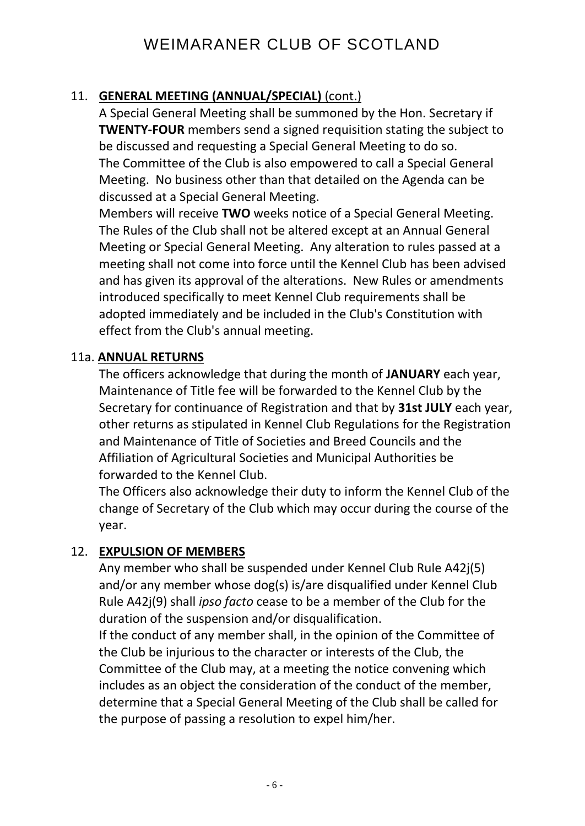## 11. **GENERAL MEETING (ANNUAL/SPECIAL)** (cont.)

A Special General Meeting shall be summoned by the Hon. Secretary if **TWENTY-FOUR** members send a signed requisition stating the subject to be discussed and requesting a Special General Meeting to do so. The Committee of the Club is also empowered to call a Special General Meeting. No business other than that detailed on the Agenda can be discussed at a Special General Meeting.

Members will receive **TWO** weeks notice of a Special General Meeting. The Rules of the Club shall not be altered except at an Annual General Meeting or Special General Meeting. Any alteration to rules passed at a meeting shall not come into force until the Kennel Club has been advised and has given its approval of the alterations. New Rules or amendments introduced specifically to meet Kennel Club requirements shall be adopted immediately and be included in the Club's Constitution with effect from the Club's annual meeting.

#### 11a. **ANNUAL RETURNS**

The officers acknowledge that during the month of **JANUARY** each year, Maintenance of Title fee will be forwarded to the Kennel Club by the Secretary for continuance of Registration and that by **31st JULY** each year, other returns as stipulated in Kennel Club Regulations for the Registration and Maintenance of Title of Societies and Breed Councils and the Affiliation of Agricultural Societies and Municipal Authorities be forwarded to the Kennel Club.

The Officers also acknowledge their duty to inform the Kennel Club of the change of Secretary of the Club which may occur during the course of the year.

#### 12. **EXPULSION OF MEMBERS**

Any member who shall be suspended under Kennel Club Rule A42j(5) and/or any member whose dog(s) is/are disqualified under Kennel Club Rule A42j(9) shall *ipso facto* cease to be a member of the Club for the duration of the suspension and/or disqualification.

If the conduct of any member shall, in the opinion of the Committee of the Club be injurious to the character or interests of the Club, the Committee of the Club may, at a meeting the notice convening which includes as an object the consideration of the conduct of the member, determine that a Special General Meeting of the Club shall be called for the purpose of passing a resolution to expel him/her.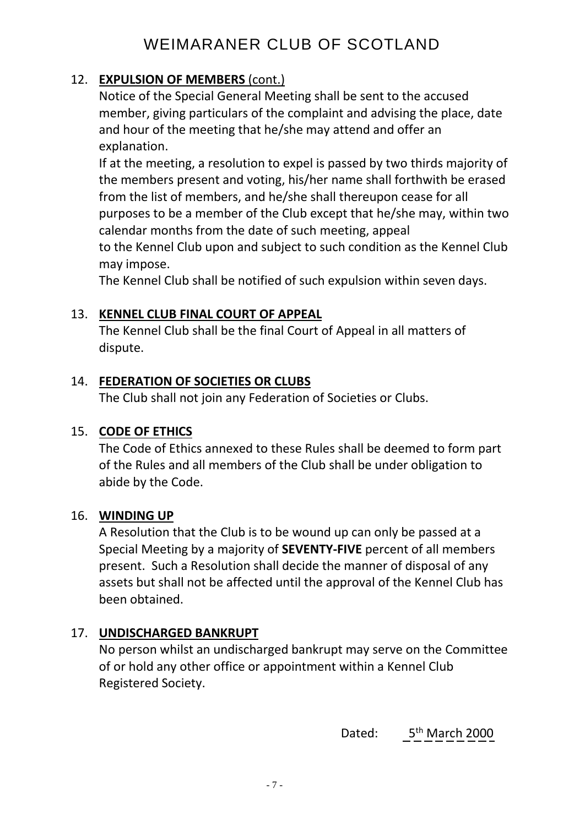## 12. **EXPULSION OF MEMBERS** (cont.)

Notice of the Special General Meeting shall be sent to the accused member, giving particulars of the complaint and advising the place, date and hour of the meeting that he/she may attend and offer an explanation.

If at the meeting, a resolution to expel is passed by two thirds majority of the members present and voting, his/her name shall forthwith be erased from the list of members, and he/she shall thereupon cease for all purposes to be a member of the Club except that he/she may, within two calendar months from the date of such meeting, appeal

to the Kennel Club upon and subject to such condition as the Kennel Club may impose.

The Kennel Club shall be notified of such expulsion within seven days.

#### 13. **KENNEL CLUB FINAL COURT OF APPEAL**

The Kennel Club shall be the final Court of Appeal in all matters of dispute.

#### 14. **FEDERATION OF SOCIETIES OR CLUBS**

The Club shall not join any Federation of Societies or Clubs.

### 15. **CODE OF ETHICS**

The Code of Ethics annexed to these Rules shall be deemed to form part of the Rules and all members of the Club shall be under obligation to abide by the Code.

#### 16. **WINDING UP**

A Resolution that the Club is to be wound up can only be passed at a Special Meeting by a majority of **SEVENTY-FIVE** percent of all members present. Such a Resolution shall decide the manner of disposal of any assets but shall not be affected until the approval of the Kennel Club has been obtained.

### 17. **UNDISCHARGED BANKRUPT**

No person whilst an undischarged bankrupt may serve on the Committee of or hold any other office or appointment within a Kennel Club Registered Society.

discussion of the contract of the Dated: 5  $\,$  Dated: 5  $\,$  Dated: 5  $\,$   $\,$  Dated: 5  $\,$   $\,$  Dated: 5  $\,$   $\,$  Dated: 5  $\,$   $\,$  Dated: 5  $\,$   $\,$  Dated: 5  $\,$   $\,$  Dated: 5  $\,$   $\,$  Dated: 5  $\,$   $\,$  Dated: 5 5<sup>th</sup> March 2000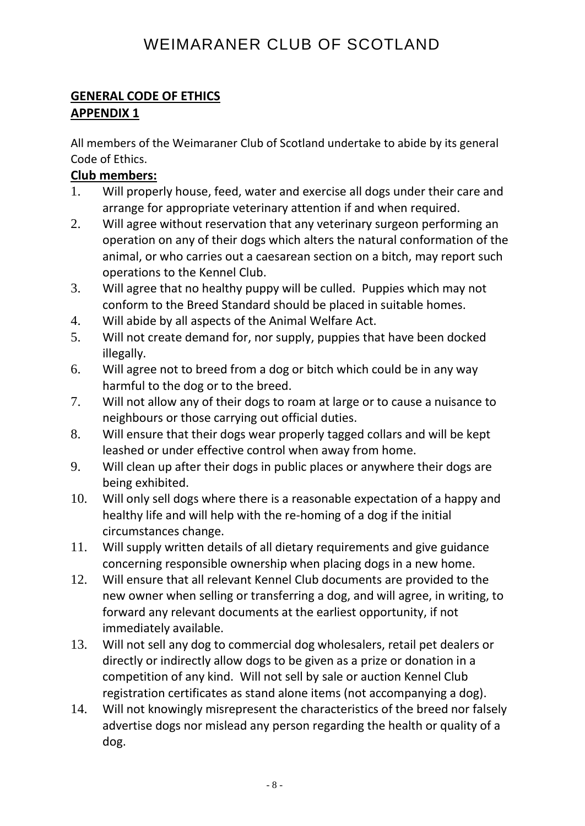## **GENERAL CODE OF ETHICS APPENDIX 1**

All members of the Weimaraner Club of Scotland undertake to abide by its general Code of Ethics.

### **Club members:**

- 1. Will properly house, feed, water and exercise all dogs under their care and arrange for appropriate veterinary attention if and when required.
- 2. Will agree without reservation that any veterinary surgeon performing an operation on any of their dogs which alters the natural conformation of the animal, or who carries out a caesarean section on a bitch, may report such operations to the Kennel Club.
- 3. Will agree that no healthy puppy will be culled. Puppies which may not conform to the Breed Standard should be placed in suitable homes.
- 4. Will abide by all aspects of the Animal Welfare Act.
- 5. Will not create demand for, nor supply, puppies that have been docked illegally.
- 6. Will agree not to breed from a dog or bitch which could be in any way harmful to the dog or to the breed.
- 7. Will not allow any of their dogs to roam at large or to cause a nuisance to neighbours or those carrying out official duties.
- 8. Will ensure that their dogs wear properly tagged collars and will be kept leashed or under effective control when away from home.
- 9. Will clean up after their dogs in public places or anywhere their dogs are being exhibited.
- 10. Will only sell dogs where there is a reasonable expectation of a happy and healthy life and will help with the re-homing of a dog if the initial circumstances change.
- 11. Will supply written details of all dietary requirements and give guidance concerning responsible ownership when placing dogs in a new home.
- 12. Will ensure that all relevant Kennel Club documents are provided to the new owner when selling or transferring a dog, and will agree, in writing, to forward any relevant documents at the earliest opportunity, if not immediately available.
- 13. Will not sell any dog to commercial dog wholesalers, retail pet dealers or directly or indirectly allow dogs to be given as a prize or donation in a competition of any kind. Will not sell by sale or auction Kennel Club registration certificates as stand alone items (not accompanying a dog).
- 14. Will not knowingly misrepresent the characteristics of the breed nor falsely advertise dogs nor mislead any person regarding the health or quality of a dog.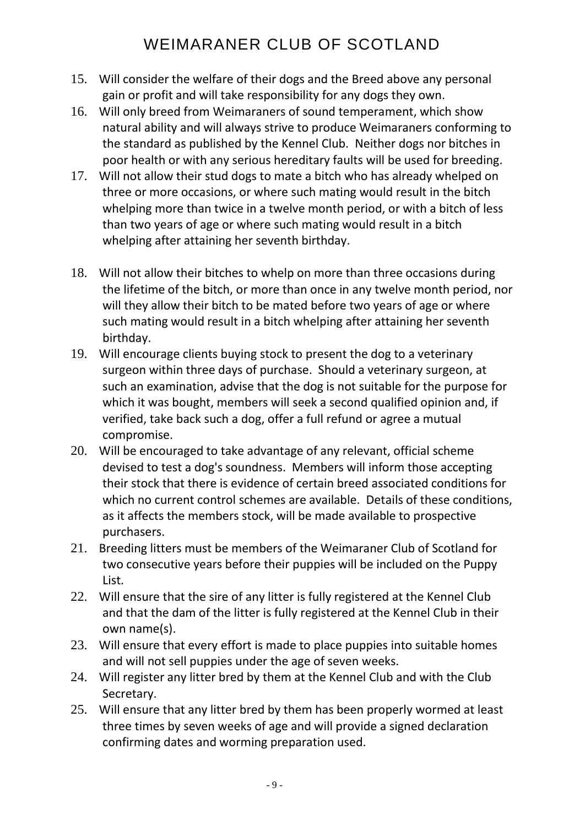- 15. Will consider the welfare of their dogs and the Breed above any personal gain or profit and will take responsibility for any dogs they own.
- 16. Will only breed from Weimaraners of sound temperament, which show natural ability and will always strive to produce Weimaraners conforming to the standard as published by the Kennel Club. Neither dogs nor bitches in poor health or with any serious hereditary faults will be used for breeding.
- 17. Will not allow their stud dogs to mate a bitch who has already whelped on three or more occasions, or where such mating would result in the bitch whelping more than twice in a twelve month period, or with a bitch of less than two years of age or where such mating would result in a bitch whelping after attaining her seventh birthday.
- 18. Will not allow their bitches to whelp on more than three occasions during the lifetime of the bitch, or more than once in any twelve month period, nor will they allow their bitch to be mated before two years of age or where such mating would result in a bitch whelping after attaining her seventh birthday.
- 19. Will encourage clients buying stock to present the dog to a veterinary surgeon within three days of purchase. Should a veterinary surgeon, at such an examination, advise that the dog is not suitable for the purpose for which it was bought, members will seek a second qualified opinion and, if verified, take back such a dog, offer a full refund or agree a mutual compromise.
- 20. Will be encouraged to take advantage of any relevant, official scheme devised to test a dog's soundness. Members will inform those accepting their stock that there is evidence of certain breed associated conditions for which no current control schemes are available. Details of these conditions, as it affects the members stock, will be made available to prospective purchasers.
- 21. Breeding litters must be members of the Weimaraner Club of Scotland for two consecutive years before their puppies will be included on the Puppy List.
- 22. Will ensure that the sire of any litter is fully registered at the Kennel Club and that the dam of the litter is fully registered at the Kennel Club in their own name(s).
- 23. Will ensure that every effort is made to place puppies into suitable homes and will not sell puppies under the age of seven weeks.
- 24. Will register any litter bred by them at the Kennel Club and with the Club Secretary.
- 25. Will ensure that any litter bred by them has been properly wormed at least three times by seven weeks of age and will provide a signed declaration confirming dates and worming preparation used.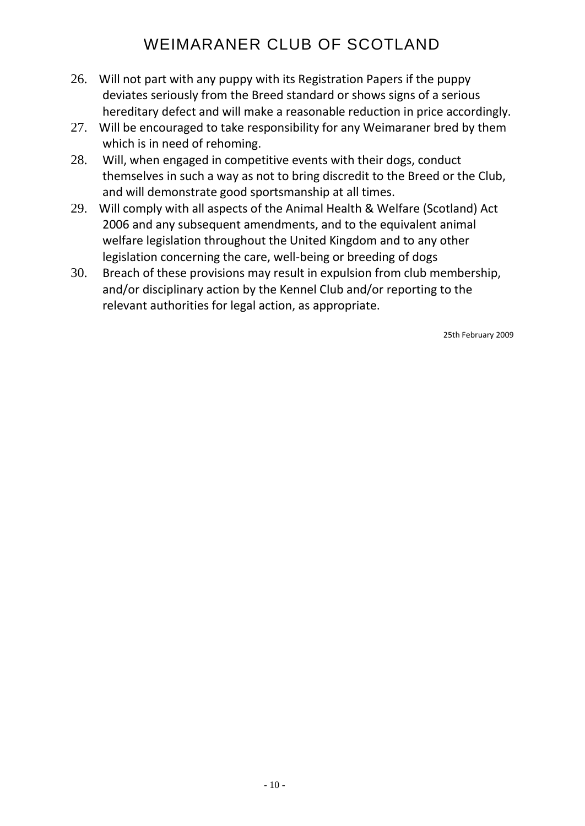- 26. Will not part with any puppy with its Registration Papers if the puppy deviates seriously from the Breed standard or shows signs of a serious hereditary defect and will make a reasonable reduction in price accordingly.
- 27. Will be encouraged to take responsibility for any Weimaraner bred by them which is in need of rehoming.
- 28. Will, when engaged in competitive events with their dogs, conduct themselves in such a way as not to bring discredit to the Breed or the Club, and will demonstrate good sportsmanship at all times.
- 29. Will comply with all aspects of the Animal Health & Welfare (Scotland) Act 2006 and any subsequent amendments, and to the equivalent animal welfare legislation throughout the United Kingdom and to any other legislation concerning the care, well-being or breeding of dogs
- 30. Breach of these provisions may result in expulsion from club membership, and/or disciplinary action by the Kennel Club and/or reporting to the relevant authorities for legal action, as appropriate.

25th February 2009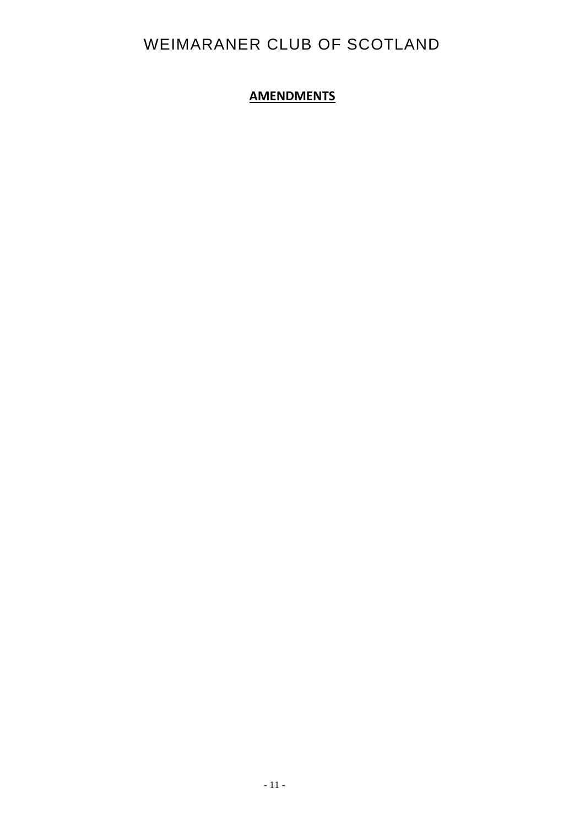## **AMENDMENTS**